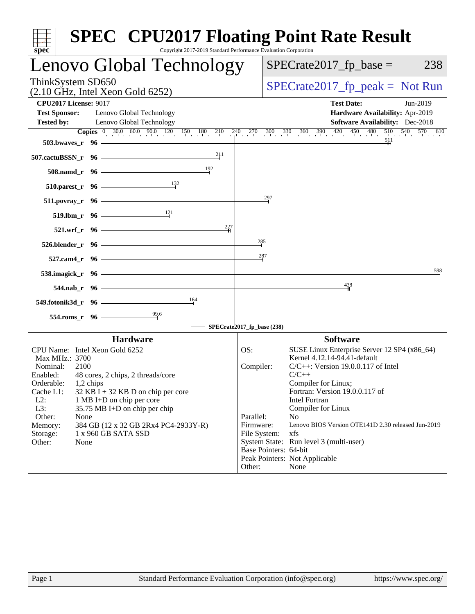| $spec^*$                                                                                          | <b>SPEC<sup>®</sup> CPU2017 Floating Point Rate Result</b><br>Copyright 2017-2019 Standard Performance Evaluation Corporation                                                                                                                    |
|---------------------------------------------------------------------------------------------------|--------------------------------------------------------------------------------------------------------------------------------------------------------------------------------------------------------------------------------------------------|
| Lenovo Global Technology                                                                          | $SPECrate2017_fp\_base =$<br>238                                                                                                                                                                                                                 |
| ThinkSystem SD650<br>$(2.10 \text{ GHz}, \text{Intel Xeon Gold } 6252)$                           | $SPECrate2017_fp\_peak = Not Run$                                                                                                                                                                                                                |
| <b>CPU2017 License: 9017</b>                                                                      | <b>Test Date:</b><br>Jun-2019                                                                                                                                                                                                                    |
| <b>Test Sponsor:</b><br>Lenovo Global Technology<br><b>Tested by:</b><br>Lenovo Global Technology | Hardware Availability: Apr-2019<br>Software Availability: Dec-2018<br><b>Copies</b> $\begin{bmatrix} 0 & 30.0 & 60.0 & 90.0 & 120 & 150 & 180 & 210 & 240 & 270 & 300 & 330 & 360 & 390 & 420 & 450 & 480 & 510 & 540 & 570 & 610 \end{bmatrix}$ |
| 503.bwayes_r 96                                                                                   | 511                                                                                                                                                                                                                                              |
| 211<br>507.cactuBSSN_r 96                                                                         |                                                                                                                                                                                                                                                  |
| 192<br>508.namd_r 96                                                                              |                                                                                                                                                                                                                                                  |
| 132<br>$510.parest_r$ 96                                                                          |                                                                                                                                                                                                                                                  |
| $511. povray_r$ 96                                                                                | 297                                                                                                                                                                                                                                              |
| 121<br>519.1bm r 96                                                                               |                                                                                                                                                                                                                                                  |
| 227<br>521.wrf_r 96                                                                               |                                                                                                                                                                                                                                                  |
| 526.blender_r 96                                                                                  | 285                                                                                                                                                                                                                                              |
| 527.cam4_r 96                                                                                     | 287<br>598                                                                                                                                                                                                                                       |
| 538.imagick_r 96                                                                                  |                                                                                                                                                                                                                                                  |
| 544.nab_r 96                                                                                      | 438                                                                                                                                                                                                                                              |
| 164<br>549.fotonik3d_r 96                                                                         |                                                                                                                                                                                                                                                  |
| 99.6<br>554.roms_r 96                                                                             |                                                                                                                                                                                                                                                  |
|                                                                                                   | SPECrate2017_fp_base (238)                                                                                                                                                                                                                       |
| <b>Hardware</b><br>CPU Name: Intel Xeon Gold 6252                                                 | <b>Software</b><br>OS:<br>SUSE Linux Enterprise Server 12 SP4 (x86_64)                                                                                                                                                                           |
| Max MHz.: 3700<br>Nominal:<br>2100                                                                | Kernel 4.12.14-94.41-default<br>Compiler:<br>$C/C++$ : Version 19.0.0.117 of Intel                                                                                                                                                               |
| 48 cores, 2 chips, 2 threads/core<br>Enabled:<br>Orderable:<br>1,2 chips                          | $C/C++$<br>Compiler for Linux;                                                                                                                                                                                                                   |
| Cache L1:<br>$32$ KB I + 32 KB D on chip per core<br>$L2$ :<br>1 MB I+D on chip per core          | Fortran: Version 19.0.0.117 of<br><b>Intel Fortran</b>                                                                                                                                                                                           |
| L3:<br>35.75 MB I+D on chip per chip                                                              | Compiler for Linux                                                                                                                                                                                                                               |
| Other:<br>None<br>Memory:<br>384 GB (12 x 32 GB 2Rx4 PC4-2933Y-R)                                 | Parallel:<br>N <sub>o</sub><br>Lenovo BIOS Version OTE141D 2.30 released Jun-2019<br>Firmware:                                                                                                                                                   |
| 1 x 960 GB SATA SSD<br>Storage:                                                                   | File System:<br>xfs                                                                                                                                                                                                                              |
| Other:<br>None                                                                                    | System State: Run level 3 (multi-user)<br>Base Pointers: 64-bit                                                                                                                                                                                  |
|                                                                                                   | Peak Pointers: Not Applicable                                                                                                                                                                                                                    |
|                                                                                                   | None<br>Other:                                                                                                                                                                                                                                   |
|                                                                                                   |                                                                                                                                                                                                                                                  |
|                                                                                                   |                                                                                                                                                                                                                                                  |
|                                                                                                   |                                                                                                                                                                                                                                                  |
|                                                                                                   |                                                                                                                                                                                                                                                  |
|                                                                                                   |                                                                                                                                                                                                                                                  |
|                                                                                                   |                                                                                                                                                                                                                                                  |
|                                                                                                   |                                                                                                                                                                                                                                                  |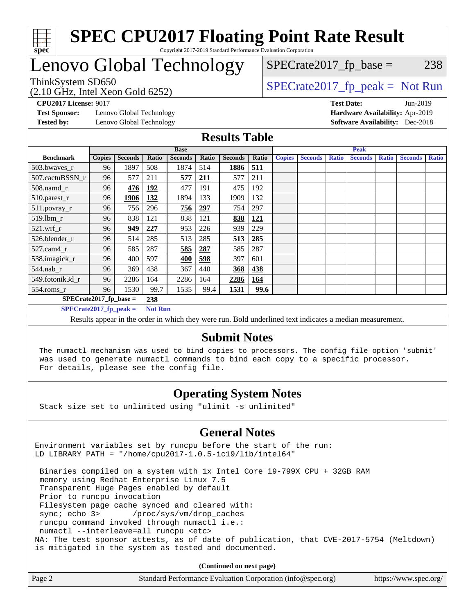

## Lenovo Global Technology

(2.10 GHz, Intel Xeon Gold 6252)

ThinkSystem SD650  $SPECrate2017$  fp\_peak = Not Run

 $SPECTate2017<sub>fp</sub> base = 238$ 

**[Test Sponsor:](http://www.spec.org/auto/cpu2017/Docs/result-fields.html#TestSponsor)** Lenovo Global Technology **[Hardware Availability:](http://www.spec.org/auto/cpu2017/Docs/result-fields.html#HardwareAvailability)** Apr-2019 **[Tested by:](http://www.spec.org/auto/cpu2017/Docs/result-fields.html#Testedby)** Lenovo Global Technology **[Software Availability:](http://www.spec.org/auto/cpu2017/Docs/result-fields.html#SoftwareAvailability)** Dec-2018

**[CPU2017 License:](http://www.spec.org/auto/cpu2017/Docs/result-fields.html#CPU2017License)** 9017 **[Test Date:](http://www.spec.org/auto/cpu2017/Docs/result-fields.html#TestDate)** Jun-2019

#### **[Results Table](http://www.spec.org/auto/cpu2017/Docs/result-fields.html#ResultsTable)**

|                           |               |                |                | <b>Base</b>    |       |                |            |               |                |              | <b>Peak</b>    |              |                |              |
|---------------------------|---------------|----------------|----------------|----------------|-------|----------------|------------|---------------|----------------|--------------|----------------|--------------|----------------|--------------|
| <b>Benchmark</b>          | <b>Copies</b> | <b>Seconds</b> | Ratio          | <b>Seconds</b> | Ratio | <b>Seconds</b> | Ratio      | <b>Copies</b> | <b>Seconds</b> | <b>Ratio</b> | <b>Seconds</b> | <b>Ratio</b> | <b>Seconds</b> | <b>Ratio</b> |
| 503.bwayes_r              | 96            | 1897           | 508            | 1874           | 514   | 1886           | 511        |               |                |              |                |              |                |              |
| 507.cactuBSSN r           | 96            | 577            | 211            | 577            | 211   | 577            | 211        |               |                |              |                |              |                |              |
| $508$ .namd $r$           | 96            | 476            | 192            | 477            | 191   | 475            | 192        |               |                |              |                |              |                |              |
| 510.parest_r              | 96            | 1906           | 132            | 1894           | 133   | 1909           | 132        |               |                |              |                |              |                |              |
| 511.povray_r              | 96            | 756            | 296            | 756            | 297   | 754            | 297        |               |                |              |                |              |                |              |
| 519.lbm r                 | 96            | 838            | 121            | 838            | 121   | 838            | 121        |               |                |              |                |              |                |              |
| $521.wrf$ r               | 96            | 949            | 227            | 953            | 226   | 939            | 229        |               |                |              |                |              |                |              |
| 526.blender r             | 96            | 514            | 285            | 513            | 285   | 513            | <u>285</u> |               |                |              |                |              |                |              |
| $527$ .cam $4r$           | 96            | 585            | 287            | 585            | 287   | 585            | 287        |               |                |              |                |              |                |              |
| 538.imagick_r             | 96            | 400            | 597            | 400            | 598   | 397            | 601        |               |                |              |                |              |                |              |
| $544$ .nab r              | 96            | 369            | 438            | 367            | 440   | 368            | 438        |               |                |              |                |              |                |              |
| 549.fotonik3d r           | 96            | 2286           | 164            | 2286           | 164   | 2286           | 164        |               |                |              |                |              |                |              |
| $554$ .roms_r             | 96            | 1530           | 99.7           | 1535           | 99.4  | 1531           | 99.6       |               |                |              |                |              |                |              |
| $SPECrate2017_fp\_base =$ |               |                | 238            |                |       |                |            |               |                |              |                |              |                |              |
| $SPECrate2017$ fp peak =  |               |                | <b>Not Run</b> |                |       |                |            |               |                |              |                |              |                |              |

Results appear in the [order in which they were run.](http://www.spec.org/auto/cpu2017/Docs/result-fields.html#RunOrder) Bold underlined text [indicates a median measurement.](http://www.spec.org/auto/cpu2017/Docs/result-fields.html#Median)

#### **[Submit Notes](http://www.spec.org/auto/cpu2017/Docs/result-fields.html#SubmitNotes)**

 The numactl mechanism was used to bind copies to processors. The config file option 'submit' was used to generate numactl commands to bind each copy to a specific processor. For details, please see the config file.

#### **[Operating System Notes](http://www.spec.org/auto/cpu2017/Docs/result-fields.html#OperatingSystemNotes)**

Stack size set to unlimited using "ulimit -s unlimited"

#### **[General Notes](http://www.spec.org/auto/cpu2017/Docs/result-fields.html#GeneralNotes)**

Environment variables set by runcpu before the start of the run: LD\_LIBRARY\_PATH = "/home/cpu2017-1.0.5-ic19/lib/intel64"

 Binaries compiled on a system with 1x Intel Core i9-799X CPU + 32GB RAM memory using Redhat Enterprise Linux 7.5 Transparent Huge Pages enabled by default Prior to runcpu invocation Filesystem page cache synced and cleared with: sync; echo 3> /proc/sys/vm/drop\_caches runcpu command invoked through numactl i.e.: numactl --interleave=all runcpu <etc> NA: The test sponsor attests, as of date of publication, that CVE-2017-5754 (Meltdown) is mitigated in the system as tested and documented.

**(Continued on next page)**

| Page 2 | Standard Performance Evaluation Corporation (info@spec.org) | https://www.spec.org/ |
|--------|-------------------------------------------------------------|-----------------------|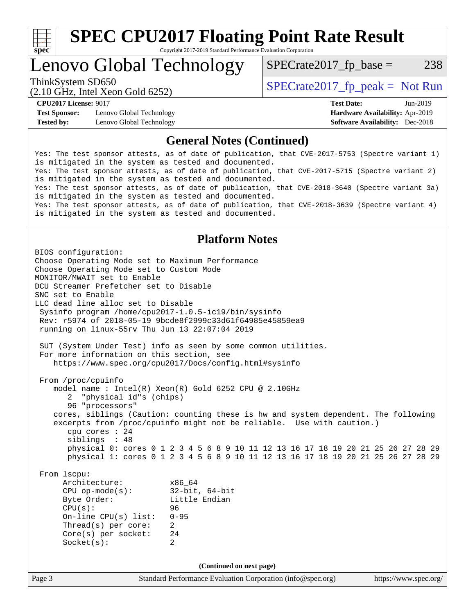

### Lenovo Global Technology

 $SPECTate2017<sub>fp</sub> base = 238$ 

(2.10 GHz, Intel Xeon Gold 6252)

ThinkSystem SD650  $SPECrate2017$  fp\_peak = Not Run

**[Test Sponsor:](http://www.spec.org/auto/cpu2017/Docs/result-fields.html#TestSponsor)** Lenovo Global Technology **[Hardware Availability:](http://www.spec.org/auto/cpu2017/Docs/result-fields.html#HardwareAvailability)** Apr-2019 **[Tested by:](http://www.spec.org/auto/cpu2017/Docs/result-fields.html#Testedby)** Lenovo Global Technology **[Software Availability:](http://www.spec.org/auto/cpu2017/Docs/result-fields.html#SoftwareAvailability)** Dec-2018

**[CPU2017 License:](http://www.spec.org/auto/cpu2017/Docs/result-fields.html#CPU2017License)** 9017 **[Test Date:](http://www.spec.org/auto/cpu2017/Docs/result-fields.html#TestDate)** Jun-2019

#### **[General Notes \(Continued\)](http://www.spec.org/auto/cpu2017/Docs/result-fields.html#GeneralNotes)**

Yes: The test sponsor attests, as of date of publication, that CVE-2017-5753 (Spectre variant 1) is mitigated in the system as tested and documented. Yes: The test sponsor attests, as of date of publication, that CVE-2017-5715 (Spectre variant 2) is mitigated in the system as tested and documented. Yes: The test sponsor attests, as of date of publication, that CVE-2018-3640 (Spectre variant 3a) is mitigated in the system as tested and documented. Yes: The test sponsor attests, as of date of publication, that CVE-2018-3639 (Spectre variant 4) is mitigated in the system as tested and documented.

#### **[Platform Notes](http://www.spec.org/auto/cpu2017/Docs/result-fields.html#PlatformNotes)**

Page 3 Standard Performance Evaluation Corporation [\(info@spec.org\)](mailto:info@spec.org) <https://www.spec.org/> BIOS configuration: Choose Operating Mode set to Maximum Performance Choose Operating Mode set to Custom Mode MONITOR/MWAIT set to Enable DCU Streamer Prefetcher set to Disable SNC set to Enable LLC dead line alloc set to Disable Sysinfo program /home/cpu2017-1.0.5-ic19/bin/sysinfo Rev: r5974 of 2018-05-19 9bcde8f2999c33d61f64985e45859ea9 running on linux-55rv Thu Jun 13 22:07:04 2019 SUT (System Under Test) info as seen by some common utilities. For more information on this section, see <https://www.spec.org/cpu2017/Docs/config.html#sysinfo> From /proc/cpuinfo model name : Intel(R) Xeon(R) Gold 6252 CPU @ 2.10GHz 2 "physical id"s (chips) 96 "processors" cores, siblings (Caution: counting these is hw and system dependent. The following excerpts from /proc/cpuinfo might not be reliable. Use with caution.) cpu cores : 24 siblings : 48 physical 0: cores 0 1 2 3 4 5 6 8 9 10 11 12 13 16 17 18 19 20 21 25 26 27 28 29 physical 1: cores 0 1 2 3 4 5 6 8 9 10 11 12 13 16 17 18 19 20 21 25 26 27 28 29 From lscpu: Architecture: x86\_64 CPU op-mode(s): 32-bit, 64-bit Byte Order: Little Endian CPU(s): 96 On-line CPU(s) list: 0-95 Thread(s) per core: 2 Core(s) per socket: 24 Socket(s): 2 **(Continued on next page)**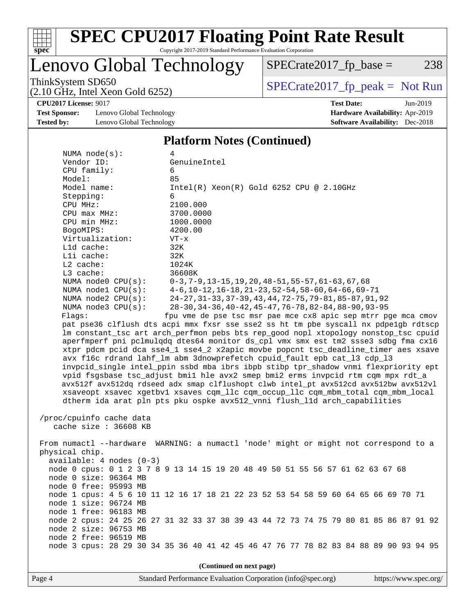

### Lenovo Global Technology

ThinkSystem SD650<br>  $(2.10 \text{ GHz})$  Intel Xeon Gold 6252)  $SPECTate2017_fp\_base = 238$ 

(2.10 GHz, Intel Xeon Gold 6252)

**[Test Sponsor:](http://www.spec.org/auto/cpu2017/Docs/result-fields.html#TestSponsor)** Lenovo Global Technology **[Hardware Availability:](http://www.spec.org/auto/cpu2017/Docs/result-fields.html#HardwareAvailability)** Apr-2019 **[Tested by:](http://www.spec.org/auto/cpu2017/Docs/result-fields.html#Testedby)** Lenovo Global Technology **[Software Availability:](http://www.spec.org/auto/cpu2017/Docs/result-fields.html#SoftwareAvailability)** Dec-2018

### **[CPU2017 License:](http://www.spec.org/auto/cpu2017/Docs/result-fields.html#CPU2017License)** 9017 **[Test Date:](http://www.spec.org/auto/cpu2017/Docs/result-fields.html#TestDate)** Jun-2019

#### **[Platform Notes \(Continued\)](http://www.spec.org/auto/cpu2017/Docs/result-fields.html#PlatformNotes)**

| NUMA $node(s):$            | 4                                                                                    |
|----------------------------|--------------------------------------------------------------------------------------|
| Vendor ID:                 | GenuineIntel                                                                         |
| CPU family:                | 6                                                                                    |
| Model:                     | 85                                                                                   |
| Model name:                | $Intel(R) Xeon(R) Gold 6252 CPU @ 2.10GHz$                                           |
| Stepping:                  | 6                                                                                    |
| CPU MHz:                   | 2100.000                                                                             |
| $CPU$ $max$ $MHz$ :        | 3700.0000                                                                            |
| CPU min MHz:               | 1000.0000                                                                            |
| BogoMIPS:                  | 4200.00                                                                              |
| Virtualization:            | $VT - x$                                                                             |
| L1d cache:                 | 32K                                                                                  |
| Lli cache:                 | 32K                                                                                  |
| $L2$ cache:                | 1024K                                                                                |
| L3 cache:                  | 36608K                                                                               |
| NUMA node0 CPU(s):         | $0-3, 7-9, 13-15, 19, 20, 48-51, 55-57, 61-63, 67, 68$                               |
| NUMA nodel CPU(s):         | $4-6$ , 10-12, 16-18, 21-23, 52-54, 58-60, 64-66, 69-71                              |
| NUMA $node2$ $CPU(s)$ :    | 24-27, 31-33, 37-39, 43, 44, 72-75, 79-81, 85-87, 91, 92                             |
| NUMA node3 CPU(s):         | 28-30, 34-36, 40-42, 45-47, 76-78, 82-84, 88-90, 93-95                               |
| Flaqs:                     | fpu vme de pse tsc msr pae mce cx8 apic sep mtrr pge mca cmov                        |
|                            | pat pse36 clflush dts acpi mmx fxsr sse sse2 ss ht tm pbe syscall nx pdpelgb rdtscp  |
|                            | lm constant_tsc art arch_perfmon pebs bts rep_good nopl xtopology nonstop_tsc cpuid  |
|                            | aperfmperf pni pclmulqdq dtes64 monitor ds_cpl vmx smx est tm2 ssse3 sdbg fma cx16   |
|                            | xtpr pdcm pcid dca sse4_1 sse4_2 x2apic movbe popcnt tsc_deadline_timer aes xsave    |
|                            | avx f16c rdrand lahf_lm abm 3dnowprefetch cpuid_fault epb cat_13 cdp_13              |
|                            | invpcid_single intel_ppin ssbd mba ibrs ibpb stibp tpr_shadow vnmi flexpriority ept  |
|                            | vpid fsgsbase tsc_adjust bmil hle avx2 smep bmi2 erms invpcid rtm cqm mpx rdt_a      |
|                            | avx512f avx512dq rdseed adx smap clflushopt clwb intel_pt avx512cd avx512bw avx512vl |
|                            |                                                                                      |
|                            | xsaveopt xsavec xgetbvl xsaves cqm_llc cqm_occup_llc cqm_mbm_total cqm_mbm_local     |
|                            | dtherm ida arat pln pts pku ospke avx512_vnni flush_lld arch_capabilities            |
|                            |                                                                                      |
| /proc/cpuinfo cache data   |                                                                                      |
| cache size : 36608 KB      |                                                                                      |
|                            |                                                                                      |
|                            | From numactl --hardware WARNING: a numactl 'node' might or might not correspond to a |
| physical chip.             |                                                                                      |
| $available: 4 nodes (0-3)$ |                                                                                      |
|                            | node 0 cpus: 0 1 2 3 7 8 9 13 14 15 19 20 48 49 50 51 55 56 57 61 62 63 67 68        |
| node 0 size: 96364 MB      |                                                                                      |
| node 0 free: 95993 MB      |                                                                                      |
|                            | node 1 cpus: 4 5 6 10 11 12 16 17 18 21 22 23 52 53 54 58 59 60 64 65 66 69 70 71    |
| node 1 size: 96724 MB      |                                                                                      |
| node 1 free: 96183 MB      |                                                                                      |
|                            | node 2 cpus: 24 25 26 27 31 32 33 37 38 39 43 44 72 73 74 75 79 80 81 85 86 87 91 92 |
| node 2 size: 96753 MB      |                                                                                      |
| node 2 free: 96519 MB      |                                                                                      |
|                            | node 3 cpus: 28 29 30 34 35 36 40 41 42 45 46 47 76 77 78 82 83 84 88 89 90 93 94 95 |
|                            |                                                                                      |
|                            | (Continued on next page)                                                             |
|                            |                                                                                      |

Page 4 Standard Performance Evaluation Corporation [\(info@spec.org\)](mailto:info@spec.org) <https://www.spec.org/>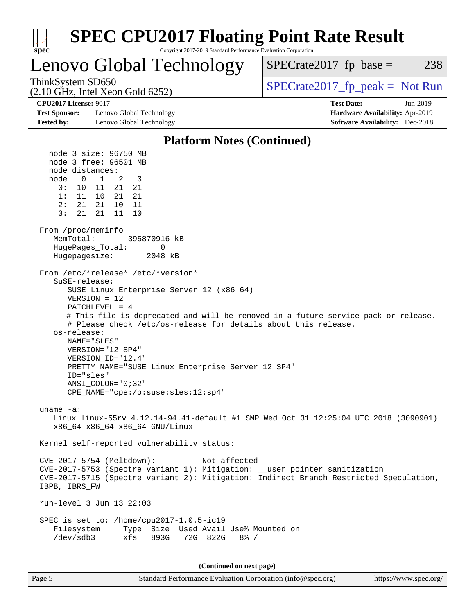| <b>SPEC CPU2017 Floating Point Rate Result</b><br>spec<br>Copyright 2017-2019 Standard Performance Evaluation Corporation                                                                                                                                                                                                                                                                                                                                                                                                                   |                                                                                                            |
|---------------------------------------------------------------------------------------------------------------------------------------------------------------------------------------------------------------------------------------------------------------------------------------------------------------------------------------------------------------------------------------------------------------------------------------------------------------------------------------------------------------------------------------------|------------------------------------------------------------------------------------------------------------|
| <b>Lenovo Global Technology</b>                                                                                                                                                                                                                                                                                                                                                                                                                                                                                                             | $SPECrate2017_fp\_base =$<br>238                                                                           |
| ThinkSystem SD650<br>$(2.10 \text{ GHz}, \text{Intel Xeon Gold } 6252)$                                                                                                                                                                                                                                                                                                                                                                                                                                                                     | $SPECTate2017$ _fp_peak = Not Run                                                                          |
| <b>CPU2017 License: 9017</b><br><b>Test Sponsor:</b><br>Lenovo Global Technology<br><b>Tested by:</b><br>Lenovo Global Technology                                                                                                                                                                                                                                                                                                                                                                                                           | <b>Test Date:</b><br>Jun-2019<br>Hardware Availability: Apr-2019<br><b>Software Availability:</b> Dec-2018 |
| <b>Platform Notes (Continued)</b>                                                                                                                                                                                                                                                                                                                                                                                                                                                                                                           |                                                                                                            |
| node 3 size: 96750 MB<br>node 3 free: 96501 MB<br>node distances:<br>$\overline{1}$<br>2<br>node<br>$\mathbf{0}$<br>3<br>0 :<br>21<br>21<br>10<br>11<br>21<br>21<br>11 10<br>1:<br>2:<br>21<br>21<br>10 <sup>1</sup><br>11<br>3:<br>21<br>11<br>21<br>10<br>From /proc/meminfo<br>MemTotal:<br>395870916 kB<br>HugePages_Total:<br>0                                                                                                                                                                                                        |                                                                                                            |
| Hugepagesize:<br>2048 kB<br>From /etc/*release* /etc/*version*<br>SuSE-release:<br>SUSE Linux Enterprise Server 12 (x86_64)<br>$VERSION = 12$<br>$PATCHLEVEL = 4$<br># This file is deprecated and will be removed in a future service pack or release.<br># Please check /etc/os-release for details about this release.<br>os-release:<br>NAME="SLES"<br>VERSION="12-SP4"<br>VERSION ID="12.4"<br>PRETTY_NAME="SUSE Linux Enterprise Server 12 SP4"<br>ID="sles"<br>$ANSI$ _COLOR=" $0:32$ "<br>$CPE\_NAME = "cpe://o:suse: sles:12:sp4"$ |                                                                                                            |
| uname $-a$ :<br>Linux linux-55rv 4.12.14-94.41-default #1 SMP Wed Oct 31 12:25:04 UTC 2018 (3090901)<br>x86 64 x86 64 x86 64 GNU/Linux                                                                                                                                                                                                                                                                                                                                                                                                      |                                                                                                            |
| Kernel self-reported vulnerability status:                                                                                                                                                                                                                                                                                                                                                                                                                                                                                                  |                                                                                                            |
| Not affected<br>CVE-2017-5754 (Meltdown):<br>CVE-2017-5753 (Spectre variant 1): Mitigation: __user pointer sanitization<br>CVE-2017-5715 (Spectre variant 2): Mitigation: Indirect Branch Restricted Speculation,<br>IBPB, IBRS FW                                                                                                                                                                                                                                                                                                          |                                                                                                            |
| run-level 3 Jun 13 22:03                                                                                                                                                                                                                                                                                                                                                                                                                                                                                                                    |                                                                                                            |
| SPEC is set to: /home/cpu2017-1.0.5-ic19<br>Type Size Used Avail Use% Mounted on<br>Filesystem<br>xfs 893G 72G 822G<br>/dev/sdb3<br>$8\frac{6}{6}$ /                                                                                                                                                                                                                                                                                                                                                                                        |                                                                                                            |
| (Continued on next page)                                                                                                                                                                                                                                                                                                                                                                                                                                                                                                                    |                                                                                                            |

Page 5 Standard Performance Evaluation Corporation [\(info@spec.org\)](mailto:info@spec.org) <https://www.spec.org/>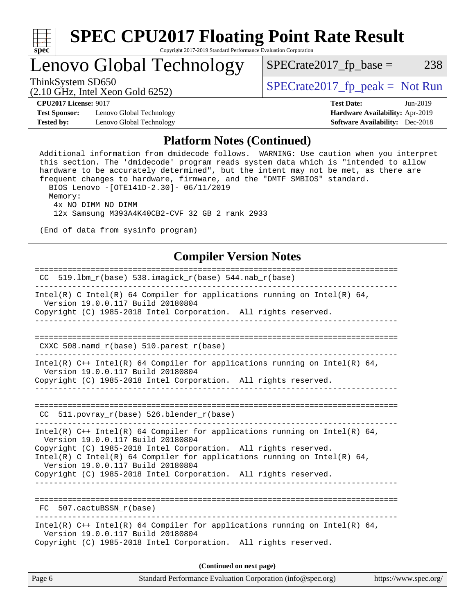

### Lenovo Global Technology

ThinkSystem SD650  $SPECrate2017$  fp\_peak = Not Run

 $SPECTate2017<sub>fp</sub> base = 238$ 

(2.10 GHz, Intel Xeon Gold 6252)

**[CPU2017 License:](http://www.spec.org/auto/cpu2017/Docs/result-fields.html#CPU2017License)** 9017 **[Test Date:](http://www.spec.org/auto/cpu2017/Docs/result-fields.html#TestDate)** Jun-2019

**[Test Sponsor:](http://www.spec.org/auto/cpu2017/Docs/result-fields.html#TestSponsor)** Lenovo Global Technology **[Hardware Availability:](http://www.spec.org/auto/cpu2017/Docs/result-fields.html#HardwareAvailability)** Apr-2019 **[Tested by:](http://www.spec.org/auto/cpu2017/Docs/result-fields.html#Testedby)** Lenovo Global Technology **[Software Availability:](http://www.spec.org/auto/cpu2017/Docs/result-fields.html#SoftwareAvailability)** Dec-2018

#### **[Platform Notes \(Continued\)](http://www.spec.org/auto/cpu2017/Docs/result-fields.html#PlatformNotes)**

 Additional information from dmidecode follows. WARNING: Use caution when you interpret this section. The 'dmidecode' program reads system data which is "intended to allow hardware to be accurately determined", but the intent may not be met, as there are frequent changes to hardware, firmware, and the "DMTF SMBIOS" standard. BIOS Lenovo -[OTE141D-2.30]- 06/11/2019 Memory: 4x NO DIMM NO DIMM 12x Samsung M393A4K40CB2-CVF 32 GB 2 rank 2933 (End of data from sysinfo program) **[Compiler Version Notes](http://www.spec.org/auto/cpu2017/Docs/result-fields.html#CompilerVersionNotes)** ============================================================================== CC 519.lbm\_r(base) 538.imagick\_r(base) 544.nab\_r(base) ------------------------------------------------------------------------------ Intel(R) C Intel(R) 64 Compiler for applications running on Intel(R) 64, Version 19.0.0.117 Build 20180804 Copyright (C) 1985-2018 Intel Corporation. All rights reserved. ------------------------------------------------------------------------------ ============================================================================== CXXC 508.namd\_r(base) 510.parest\_r(base) ------------------------------------------------------------------------------ Intel(R) C++ Intel(R) 64 Compiler for applications running on Intel(R) 64, Version 19.0.0.117 Build 20180804 Copyright (C) 1985-2018 Intel Corporation. All rights reserved. ------------------------------------------------------------------------------ ============================================================================== CC 511.povray r(base) 526.blender r(base) ------------------------------------------------------------------------------ Intel(R)  $C++$  Intel(R) 64 Compiler for applications running on Intel(R) 64, Version 19.0.0.117 Build 20180804 Copyright (C) 1985-2018 Intel Corporation. All rights reserved. Intel(R) C Intel(R) 64 Compiler for applications running on Intel(R)  $64$ , Version 19.0.0.117 Build 20180804 Copyright (C) 1985-2018 Intel Corporation. All rights reserved. ------------------------------------------------------------------------------ ============================================================================== FC 507.cactuBSSN\_r(base) ------------------------------------------------------------------------------ Intel(R) C++ Intel(R) 64 Compiler for applications running on Intel(R) 64, Version 19.0.0.117 Build 20180804 Copyright (C) 1985-2018 Intel Corporation. All rights reserved.

**(Continued on next page)**

| Page 6 | Standard Performance Evaluation Corporation (info@spec.org) | https://www.spec.org/ |
|--------|-------------------------------------------------------------|-----------------------|
|--------|-------------------------------------------------------------|-----------------------|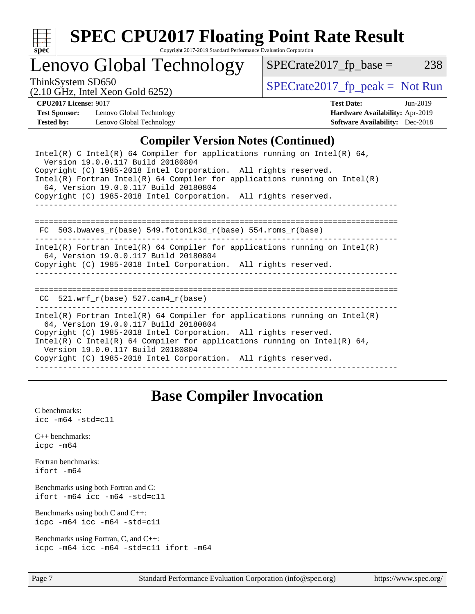

# **[SPEC CPU2017 Floating Point Rate Result](http://www.spec.org/auto/cpu2017/Docs/result-fields.html#SPECCPU2017FloatingPointRateResult)**

Copyright 2017-2019 Standard Performance Evaluation Corporation

### Lenovo Global Technology

ThinkSystem SD650<br>  $(2.10 \text{ GHz, Intel Yoon Gold } 6252)$  [SPECrate2017\\_fp\\_peak =](http://www.spec.org/auto/cpu2017/Docs/result-fields.html#SPECrate2017fppeak) Not Run

 $SPECrate2017_fp\_base = 238$ 

(2.10 GHz, Intel Xeon Gold 6252)

**[CPU2017 License:](http://www.spec.org/auto/cpu2017/Docs/result-fields.html#CPU2017License)** 9017 **[Test Date:](http://www.spec.org/auto/cpu2017/Docs/result-fields.html#TestDate)** Jun-2019 **[Test Sponsor:](http://www.spec.org/auto/cpu2017/Docs/result-fields.html#TestSponsor)** Lenovo Global Technology **[Hardware Availability:](http://www.spec.org/auto/cpu2017/Docs/result-fields.html#HardwareAvailability)** Apr-2019 **[Tested by:](http://www.spec.org/auto/cpu2017/Docs/result-fields.html#Testedby)** Lenovo Global Technology **[Software Availability:](http://www.spec.org/auto/cpu2017/Docs/result-fields.html#SoftwareAvailability)** Dec-2018

#### **[Compiler Version Notes \(Continued\)](http://www.spec.org/auto/cpu2017/Docs/result-fields.html#CompilerVersionNotes)**

| Intel(R) C Intel(R) 64 Compiler for applications running on Intel(R) 64,<br>Version 19.0.0.117 Build 20180804<br>Copyright (C) 1985-2018 Intel Corporation. All rights reserved.<br>Intel(R) Fortran Intel(R) 64 Compiler for applications running on Intel(R)<br>64, Version 19.0.0.117 Build 20180804<br>Copyright (C) 1985-2018 Intel Corporation. All rights reserved. |
|----------------------------------------------------------------------------------------------------------------------------------------------------------------------------------------------------------------------------------------------------------------------------------------------------------------------------------------------------------------------------|
|                                                                                                                                                                                                                                                                                                                                                                            |
| 503.bwaves r(base) 549.fotonik3d r(base) 554.roms r(base)<br>FC                                                                                                                                                                                                                                                                                                            |
| Intel(R) Fortran Intel(R) 64 Compiler for applications running on Intel(R)<br>64, Version 19.0.0.117 Build 20180804<br>Copyright (C) 1985-2018 Intel Corporation. All rights reserved.                                                                                                                                                                                     |
| 521.wrf $r(base)$ 527.cam4 $r(base)$<br>CC                                                                                                                                                                                                                                                                                                                                 |
| Intel(R) Fortran Intel(R) 64 Compiler for applications running on Intel(R)<br>64, Version 19.0.0.117 Build 20180804<br>Copyright (C) 1985-2018 Intel Corporation. All rights reserved.<br>Intel(R) C Intel(R) 64 Compiler for applications running on Intel(R) 64,<br>Version 19.0.0.117 Build 20180804<br>Copyright (C) 1985-2018 Intel Corporation. All rights reserved. |
|                                                                                                                                                                                                                                                                                                                                                                            |

### **[Base Compiler Invocation](http://www.spec.org/auto/cpu2017/Docs/result-fields.html#BaseCompilerInvocation)**

| C benchmarks:<br>$\text{icc -m64 -std=c11}$                                     |
|---------------------------------------------------------------------------------|
| $C_{++}$ benchmarks:<br>icpc -m64                                               |
| Fortran benchmarks:<br>ifort -m64                                               |
| Benchmarks using both Fortran and C:<br>$ifort$ -m64 $ice$ -m64 -std=c11        |
| Benchmarks using both $C$ and $C_{++}$ :<br>icpc -m64 icc -m64 -std=c11         |
| Benchmarks using Fortran, C, and C++:<br>icpc -m64 icc -m64 -std=c11 ifort -m64 |
|                                                                                 |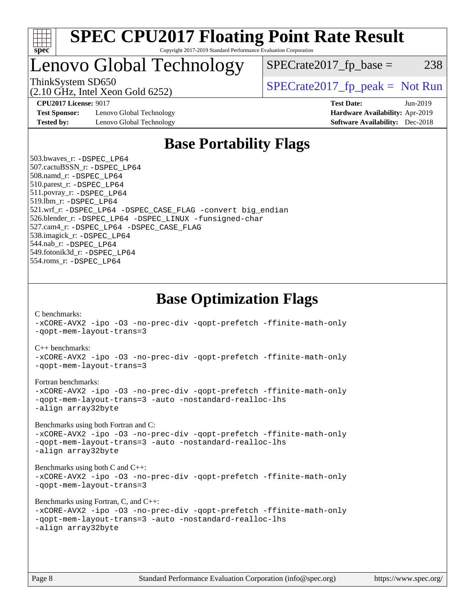

### Lenovo Global Technology

ThinkSystem SD650  $SPECrate2017$  fp\_peak = Not Run

 $SPECTate2017<sub>fr</sub> base = 238$ 

(2.10 GHz, Intel Xeon Gold 6252)

**[Test Sponsor:](http://www.spec.org/auto/cpu2017/Docs/result-fields.html#TestSponsor)** Lenovo Global Technology **[Hardware Availability:](http://www.spec.org/auto/cpu2017/Docs/result-fields.html#HardwareAvailability)** Apr-2019 **[Tested by:](http://www.spec.org/auto/cpu2017/Docs/result-fields.html#Testedby)** Lenovo Global Technology **[Software Availability:](http://www.spec.org/auto/cpu2017/Docs/result-fields.html#SoftwareAvailability)** Dec-2018

**[CPU2017 License:](http://www.spec.org/auto/cpu2017/Docs/result-fields.html#CPU2017License)** 9017 **[Test Date:](http://www.spec.org/auto/cpu2017/Docs/result-fields.html#TestDate)** Jun-2019

### **[Base Portability Flags](http://www.spec.org/auto/cpu2017/Docs/result-fields.html#BasePortabilityFlags)**

 503.bwaves\_r: [-DSPEC\\_LP64](http://www.spec.org/cpu2017/results/res2019q3/cpu2017-20190624-15491.flags.html#suite_basePORTABILITY503_bwaves_r_DSPEC_LP64) 507.cactuBSSN\_r: [-DSPEC\\_LP64](http://www.spec.org/cpu2017/results/res2019q3/cpu2017-20190624-15491.flags.html#suite_basePORTABILITY507_cactuBSSN_r_DSPEC_LP64) 508.namd\_r: [-DSPEC\\_LP64](http://www.spec.org/cpu2017/results/res2019q3/cpu2017-20190624-15491.flags.html#suite_basePORTABILITY508_namd_r_DSPEC_LP64) 510.parest\_r: [-DSPEC\\_LP64](http://www.spec.org/cpu2017/results/res2019q3/cpu2017-20190624-15491.flags.html#suite_basePORTABILITY510_parest_r_DSPEC_LP64) 511.povray\_r: [-DSPEC\\_LP64](http://www.spec.org/cpu2017/results/res2019q3/cpu2017-20190624-15491.flags.html#suite_basePORTABILITY511_povray_r_DSPEC_LP64) 519.lbm\_r: [-DSPEC\\_LP64](http://www.spec.org/cpu2017/results/res2019q3/cpu2017-20190624-15491.flags.html#suite_basePORTABILITY519_lbm_r_DSPEC_LP64) 521.wrf\_r: [-DSPEC\\_LP64](http://www.spec.org/cpu2017/results/res2019q3/cpu2017-20190624-15491.flags.html#suite_basePORTABILITY521_wrf_r_DSPEC_LP64) [-DSPEC\\_CASE\\_FLAG](http://www.spec.org/cpu2017/results/res2019q3/cpu2017-20190624-15491.flags.html#b521.wrf_r_baseCPORTABILITY_DSPEC_CASE_FLAG) [-convert big\\_endian](http://www.spec.org/cpu2017/results/res2019q3/cpu2017-20190624-15491.flags.html#user_baseFPORTABILITY521_wrf_r_convert_big_endian_c3194028bc08c63ac5d04de18c48ce6d347e4e562e8892b8bdbdc0214820426deb8554edfa529a3fb25a586e65a3d812c835984020483e7e73212c4d31a38223) 526.blender\_r: [-DSPEC\\_LP64](http://www.spec.org/cpu2017/results/res2019q3/cpu2017-20190624-15491.flags.html#suite_basePORTABILITY526_blender_r_DSPEC_LP64) [-DSPEC\\_LINUX](http://www.spec.org/cpu2017/results/res2019q3/cpu2017-20190624-15491.flags.html#b526.blender_r_baseCPORTABILITY_DSPEC_LINUX) [-funsigned-char](http://www.spec.org/cpu2017/results/res2019q3/cpu2017-20190624-15491.flags.html#user_baseCPORTABILITY526_blender_r_force_uchar_40c60f00ab013830e2dd6774aeded3ff59883ba5a1fc5fc14077f794d777847726e2a5858cbc7672e36e1b067e7e5c1d9a74f7176df07886a243d7cc18edfe67) 527.cam4\_r: [-DSPEC\\_LP64](http://www.spec.org/cpu2017/results/res2019q3/cpu2017-20190624-15491.flags.html#suite_basePORTABILITY527_cam4_r_DSPEC_LP64) [-DSPEC\\_CASE\\_FLAG](http://www.spec.org/cpu2017/results/res2019q3/cpu2017-20190624-15491.flags.html#b527.cam4_r_baseCPORTABILITY_DSPEC_CASE_FLAG) 538.imagick\_r: [-DSPEC\\_LP64](http://www.spec.org/cpu2017/results/res2019q3/cpu2017-20190624-15491.flags.html#suite_basePORTABILITY538_imagick_r_DSPEC_LP64) 544.nab\_r: [-DSPEC\\_LP64](http://www.spec.org/cpu2017/results/res2019q3/cpu2017-20190624-15491.flags.html#suite_basePORTABILITY544_nab_r_DSPEC_LP64) 549.fotonik3d\_r: [-DSPEC\\_LP64](http://www.spec.org/cpu2017/results/res2019q3/cpu2017-20190624-15491.flags.html#suite_basePORTABILITY549_fotonik3d_r_DSPEC_LP64) 554.roms\_r: [-DSPEC\\_LP64](http://www.spec.org/cpu2017/results/res2019q3/cpu2017-20190624-15491.flags.html#suite_basePORTABILITY554_roms_r_DSPEC_LP64)

**[Base Optimization Flags](http://www.spec.org/auto/cpu2017/Docs/result-fields.html#BaseOptimizationFlags)**

[C benchmarks](http://www.spec.org/auto/cpu2017/Docs/result-fields.html#Cbenchmarks):

[-xCORE-AVX2](http://www.spec.org/cpu2017/results/res2019q3/cpu2017-20190624-15491.flags.html#user_CCbase_f-xCORE-AVX2) [-ipo](http://www.spec.org/cpu2017/results/res2019q3/cpu2017-20190624-15491.flags.html#user_CCbase_f-ipo) [-O3](http://www.spec.org/cpu2017/results/res2019q3/cpu2017-20190624-15491.flags.html#user_CCbase_f-O3) [-no-prec-div](http://www.spec.org/cpu2017/results/res2019q3/cpu2017-20190624-15491.flags.html#user_CCbase_f-no-prec-div) [-qopt-prefetch](http://www.spec.org/cpu2017/results/res2019q3/cpu2017-20190624-15491.flags.html#user_CCbase_f-qopt-prefetch) [-ffinite-math-only](http://www.spec.org/cpu2017/results/res2019q3/cpu2017-20190624-15491.flags.html#user_CCbase_f_finite_math_only_cb91587bd2077682c4b38af759c288ed7c732db004271a9512da14a4f8007909a5f1427ecbf1a0fb78ff2a814402c6114ac565ca162485bbcae155b5e4258871) [-qopt-mem-layout-trans=3](http://www.spec.org/cpu2017/results/res2019q3/cpu2017-20190624-15491.flags.html#user_CCbase_f-qopt-mem-layout-trans_de80db37974c74b1f0e20d883f0b675c88c3b01e9d123adea9b28688d64333345fb62bc4a798493513fdb68f60282f9a726aa07f478b2f7113531aecce732043) [C++ benchmarks:](http://www.spec.org/auto/cpu2017/Docs/result-fields.html#CXXbenchmarks) [-xCORE-AVX2](http://www.spec.org/cpu2017/results/res2019q3/cpu2017-20190624-15491.flags.html#user_CXXbase_f-xCORE-AVX2) [-ipo](http://www.spec.org/cpu2017/results/res2019q3/cpu2017-20190624-15491.flags.html#user_CXXbase_f-ipo) [-O3](http://www.spec.org/cpu2017/results/res2019q3/cpu2017-20190624-15491.flags.html#user_CXXbase_f-O3) [-no-prec-div](http://www.spec.org/cpu2017/results/res2019q3/cpu2017-20190624-15491.flags.html#user_CXXbase_f-no-prec-div) [-qopt-prefetch](http://www.spec.org/cpu2017/results/res2019q3/cpu2017-20190624-15491.flags.html#user_CXXbase_f-qopt-prefetch) [-ffinite-math-only](http://www.spec.org/cpu2017/results/res2019q3/cpu2017-20190624-15491.flags.html#user_CXXbase_f_finite_math_only_cb91587bd2077682c4b38af759c288ed7c732db004271a9512da14a4f8007909a5f1427ecbf1a0fb78ff2a814402c6114ac565ca162485bbcae155b5e4258871) [-qopt-mem-layout-trans=3](http://www.spec.org/cpu2017/results/res2019q3/cpu2017-20190624-15491.flags.html#user_CXXbase_f-qopt-mem-layout-trans_de80db37974c74b1f0e20d883f0b675c88c3b01e9d123adea9b28688d64333345fb62bc4a798493513fdb68f60282f9a726aa07f478b2f7113531aecce732043) [Fortran benchmarks](http://www.spec.org/auto/cpu2017/Docs/result-fields.html#Fortranbenchmarks): [-xCORE-AVX2](http://www.spec.org/cpu2017/results/res2019q3/cpu2017-20190624-15491.flags.html#user_FCbase_f-xCORE-AVX2) [-ipo](http://www.spec.org/cpu2017/results/res2019q3/cpu2017-20190624-15491.flags.html#user_FCbase_f-ipo) [-O3](http://www.spec.org/cpu2017/results/res2019q3/cpu2017-20190624-15491.flags.html#user_FCbase_f-O3) [-no-prec-div](http://www.spec.org/cpu2017/results/res2019q3/cpu2017-20190624-15491.flags.html#user_FCbase_f-no-prec-div) [-qopt-prefetch](http://www.spec.org/cpu2017/results/res2019q3/cpu2017-20190624-15491.flags.html#user_FCbase_f-qopt-prefetch) [-ffinite-math-only](http://www.spec.org/cpu2017/results/res2019q3/cpu2017-20190624-15491.flags.html#user_FCbase_f_finite_math_only_cb91587bd2077682c4b38af759c288ed7c732db004271a9512da14a4f8007909a5f1427ecbf1a0fb78ff2a814402c6114ac565ca162485bbcae155b5e4258871) [-qopt-mem-layout-trans=3](http://www.spec.org/cpu2017/results/res2019q3/cpu2017-20190624-15491.flags.html#user_FCbase_f-qopt-mem-layout-trans_de80db37974c74b1f0e20d883f0b675c88c3b01e9d123adea9b28688d64333345fb62bc4a798493513fdb68f60282f9a726aa07f478b2f7113531aecce732043) [-auto](http://www.spec.org/cpu2017/results/res2019q3/cpu2017-20190624-15491.flags.html#user_FCbase_f-auto) [-nostandard-realloc-lhs](http://www.spec.org/cpu2017/results/res2019q3/cpu2017-20190624-15491.flags.html#user_FCbase_f_2003_std_realloc_82b4557e90729c0f113870c07e44d33d6f5a304b4f63d4c15d2d0f1fab99f5daaed73bdb9275d9ae411527f28b936061aa8b9c8f2d63842963b95c9dd6426b8a) [-align array32byte](http://www.spec.org/cpu2017/results/res2019q3/cpu2017-20190624-15491.flags.html#user_FCbase_align_array32byte_b982fe038af199962ba9a80c053b8342c548c85b40b8e86eb3cc33dee0d7986a4af373ac2d51c3f7cf710a18d62fdce2948f201cd044323541f22fc0fffc51b6) [Benchmarks using both Fortran and C](http://www.spec.org/auto/cpu2017/Docs/result-fields.html#BenchmarksusingbothFortranandC): [-xCORE-AVX2](http://www.spec.org/cpu2017/results/res2019q3/cpu2017-20190624-15491.flags.html#user_CC_FCbase_f-xCORE-AVX2) [-ipo](http://www.spec.org/cpu2017/results/res2019q3/cpu2017-20190624-15491.flags.html#user_CC_FCbase_f-ipo) [-O3](http://www.spec.org/cpu2017/results/res2019q3/cpu2017-20190624-15491.flags.html#user_CC_FCbase_f-O3) [-no-prec-div](http://www.spec.org/cpu2017/results/res2019q3/cpu2017-20190624-15491.flags.html#user_CC_FCbase_f-no-prec-div) [-qopt-prefetch](http://www.spec.org/cpu2017/results/res2019q3/cpu2017-20190624-15491.flags.html#user_CC_FCbase_f-qopt-prefetch) [-ffinite-math-only](http://www.spec.org/cpu2017/results/res2019q3/cpu2017-20190624-15491.flags.html#user_CC_FCbase_f_finite_math_only_cb91587bd2077682c4b38af759c288ed7c732db004271a9512da14a4f8007909a5f1427ecbf1a0fb78ff2a814402c6114ac565ca162485bbcae155b5e4258871) [-qopt-mem-layout-trans=3](http://www.spec.org/cpu2017/results/res2019q3/cpu2017-20190624-15491.flags.html#user_CC_FCbase_f-qopt-mem-layout-trans_de80db37974c74b1f0e20d883f0b675c88c3b01e9d123adea9b28688d64333345fb62bc4a798493513fdb68f60282f9a726aa07f478b2f7113531aecce732043) [-auto](http://www.spec.org/cpu2017/results/res2019q3/cpu2017-20190624-15491.flags.html#user_CC_FCbase_f-auto) [-nostandard-realloc-lhs](http://www.spec.org/cpu2017/results/res2019q3/cpu2017-20190624-15491.flags.html#user_CC_FCbase_f_2003_std_realloc_82b4557e90729c0f113870c07e44d33d6f5a304b4f63d4c15d2d0f1fab99f5daaed73bdb9275d9ae411527f28b936061aa8b9c8f2d63842963b95c9dd6426b8a) [-align array32byte](http://www.spec.org/cpu2017/results/res2019q3/cpu2017-20190624-15491.flags.html#user_CC_FCbase_align_array32byte_b982fe038af199962ba9a80c053b8342c548c85b40b8e86eb3cc33dee0d7986a4af373ac2d51c3f7cf710a18d62fdce2948f201cd044323541f22fc0fffc51b6) [Benchmarks using both C and C++](http://www.spec.org/auto/cpu2017/Docs/result-fields.html#BenchmarksusingbothCandCXX): [-xCORE-AVX2](http://www.spec.org/cpu2017/results/res2019q3/cpu2017-20190624-15491.flags.html#user_CC_CXXbase_f-xCORE-AVX2) [-ipo](http://www.spec.org/cpu2017/results/res2019q3/cpu2017-20190624-15491.flags.html#user_CC_CXXbase_f-ipo) [-O3](http://www.spec.org/cpu2017/results/res2019q3/cpu2017-20190624-15491.flags.html#user_CC_CXXbase_f-O3) [-no-prec-div](http://www.spec.org/cpu2017/results/res2019q3/cpu2017-20190624-15491.flags.html#user_CC_CXXbase_f-no-prec-div) [-qopt-prefetch](http://www.spec.org/cpu2017/results/res2019q3/cpu2017-20190624-15491.flags.html#user_CC_CXXbase_f-qopt-prefetch) [-ffinite-math-only](http://www.spec.org/cpu2017/results/res2019q3/cpu2017-20190624-15491.flags.html#user_CC_CXXbase_f_finite_math_only_cb91587bd2077682c4b38af759c288ed7c732db004271a9512da14a4f8007909a5f1427ecbf1a0fb78ff2a814402c6114ac565ca162485bbcae155b5e4258871) [-qopt-mem-layout-trans=3](http://www.spec.org/cpu2017/results/res2019q3/cpu2017-20190624-15491.flags.html#user_CC_CXXbase_f-qopt-mem-layout-trans_de80db37974c74b1f0e20d883f0b675c88c3b01e9d123adea9b28688d64333345fb62bc4a798493513fdb68f60282f9a726aa07f478b2f7113531aecce732043) [Benchmarks using Fortran, C, and C++:](http://www.spec.org/auto/cpu2017/Docs/result-fields.html#BenchmarksusingFortranCandCXX) [-xCORE-AVX2](http://www.spec.org/cpu2017/results/res2019q3/cpu2017-20190624-15491.flags.html#user_CC_CXX_FCbase_f-xCORE-AVX2) [-ipo](http://www.spec.org/cpu2017/results/res2019q3/cpu2017-20190624-15491.flags.html#user_CC_CXX_FCbase_f-ipo) [-O3](http://www.spec.org/cpu2017/results/res2019q3/cpu2017-20190624-15491.flags.html#user_CC_CXX_FCbase_f-O3) [-no-prec-div](http://www.spec.org/cpu2017/results/res2019q3/cpu2017-20190624-15491.flags.html#user_CC_CXX_FCbase_f-no-prec-div) [-qopt-prefetch](http://www.spec.org/cpu2017/results/res2019q3/cpu2017-20190624-15491.flags.html#user_CC_CXX_FCbase_f-qopt-prefetch) [-ffinite-math-only](http://www.spec.org/cpu2017/results/res2019q3/cpu2017-20190624-15491.flags.html#user_CC_CXX_FCbase_f_finite_math_only_cb91587bd2077682c4b38af759c288ed7c732db004271a9512da14a4f8007909a5f1427ecbf1a0fb78ff2a814402c6114ac565ca162485bbcae155b5e4258871) [-qopt-mem-layout-trans=3](http://www.spec.org/cpu2017/results/res2019q3/cpu2017-20190624-15491.flags.html#user_CC_CXX_FCbase_f-qopt-mem-layout-trans_de80db37974c74b1f0e20d883f0b675c88c3b01e9d123adea9b28688d64333345fb62bc4a798493513fdb68f60282f9a726aa07f478b2f7113531aecce732043) [-auto](http://www.spec.org/cpu2017/results/res2019q3/cpu2017-20190624-15491.flags.html#user_CC_CXX_FCbase_f-auto) [-nostandard-realloc-lhs](http://www.spec.org/cpu2017/results/res2019q3/cpu2017-20190624-15491.flags.html#user_CC_CXX_FCbase_f_2003_std_realloc_82b4557e90729c0f113870c07e44d33d6f5a304b4f63d4c15d2d0f1fab99f5daaed73bdb9275d9ae411527f28b936061aa8b9c8f2d63842963b95c9dd6426b8a) [-align array32byte](http://www.spec.org/cpu2017/results/res2019q3/cpu2017-20190624-15491.flags.html#user_CC_CXX_FCbase_align_array32byte_b982fe038af199962ba9a80c053b8342c548c85b40b8e86eb3cc33dee0d7986a4af373ac2d51c3f7cf710a18d62fdce2948f201cd044323541f22fc0fffc51b6)